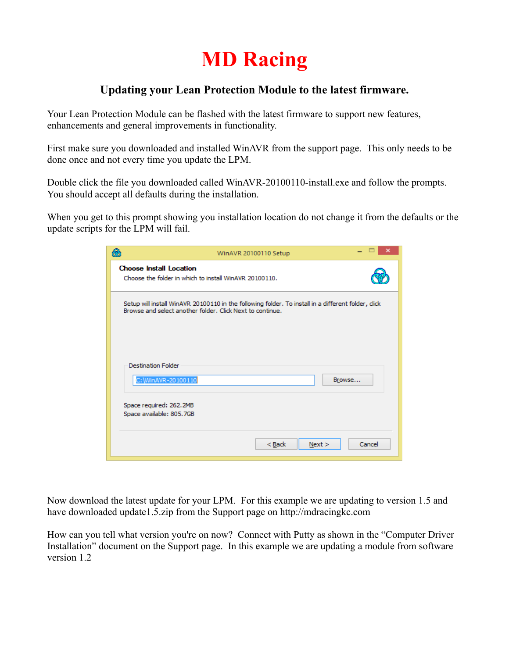## **MD Racing**

## **Updating your Lean Protection Module to the latest firmware.**

Your Lean Protection Module can be flashed with the latest firmware to support new features, enhancements and general improvements in functionality.

First make sure you downloaded and installed WinAVR from the support page. This only needs to be done once and not every time you update the LPM.

Double click the file you downloaded called WinAVR-20100110-install.exe and follow the prompts. You should accept all defaults during the installation.

When you get to this prompt showing you installation location do not change it from the defaults or the update scripts for the LPM will fail.

| Q<br>WinAVR 20100110 Setup                                                                                                                                      |  |
|-----------------------------------------------------------------------------------------------------------------------------------------------------------------|--|
| <b>Choose Install Location</b><br>Choose the folder in which to install WinAVR 20100110.                                                                        |  |
| Setup will install WinAVR 20100110 in the following folder. To install in a different folder, dick<br>Browse and select another folder, Click Next to continue, |  |
| <b>Destination Folder</b><br>C:\WinAVR-20100110<br>Browse                                                                                                       |  |
| Space required: 262.2MB<br>Space available: 805.7GB                                                                                                             |  |
| $Back$<br>Cancel<br>Next >                                                                                                                                      |  |

Now download the latest update for your LPM. For this example we are updating to version 1.5 and have downloaded update1.5.zip from the Support page on http://mdracingkc.com

How can you tell what version you're on now? Connect with Putty as shown in the "Computer Driver Installation" document on the Support page. In this example we are updating a module from software version 1.2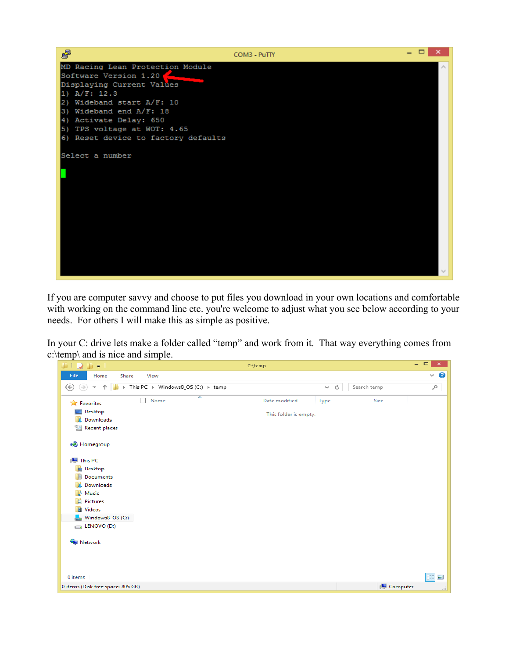

If you are computer savvy and choose to put files you download in your own locations and comfortable with working on the command line etc. you're welcome to adjust what you see below according to your needs. For others I will make this as simple as positive.

In your C: drive lets make a folder called "temp" and work from it. That way everything comes from c:\temp\ and is nice and simple.

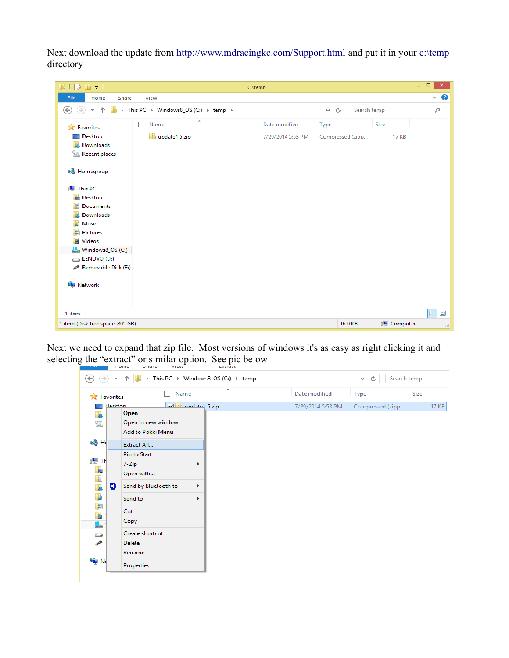Next download the update from<http://www.mdracingkc.com/Support.html>and put it in your [c:\temp](file:///c:/temp) directory

| $\begin{array}{c} \textcolor{blue}{\textbf{1}} \textcolor{blue}{\textbf{1}} \textcolor{blue}{\textbf{1}} \textcolor{blue}{\textbf{2}} \textcolor{blue}{\textbf{1}} \textcolor{blue}{\textbf{3}} \textcolor{blue}{\textbf{4}} \textcolor{blue}{\textbf{5}} \textcolor{blue}{\textbf{6}} \textcolor{blue}{\textbf{7}} \textcolor{blue}{\textbf{9}} \textcolor{blue}{\textbf{1}} \textcolor{blue}{\textbf{1}} \textcolor{blue}{\textbf{1}} \textcolor{blue}{\textbf{1}} \textcolor{blue}{\textbf{1}} \textcolor{blue}{\textbf{1}} \textcolor{blue}{\textbf$ |               | C:\temp           |                  |              | $ -$<br>$\pmb{\times}$        |
|----------------------------------------------------------------------------------------------------------------------------------------------------------------------------------------------------------------------------------------------------------------------------------------------------------------------------------------------------------------------------------------------------------------------------------------------------------------------------------------------------------------------------------------------------------|---------------|-------------------|------------------|--------------|-------------------------------|
| File<br>Home<br>Share                                                                                                                                                                                                                                                                                                                                                                                                                                                                                                                                    | View          |                   |                  |              | 3<br>$\checkmark$             |
| > This PC > Windows8_OS (C:) > temp ><br>Search temp<br>$(\Leftrightarrow)$<br>$\Rightarrow$<br>个<br>Ċ<br>v                                                                                                                                                                                                                                                                                                                                                                                                                                              |               |                   | مر               |              |                               |
| <b>X</b> Favorites                                                                                                                                                                                                                                                                                                                                                                                                                                                                                                                                       | ×<br>Name     | Date modified     | Type             | Size         |                               |
| Desktop                                                                                                                                                                                                                                                                                                                                                                                                                                                                                                                                                  | update1.5.zip | 7/29/2014 5:53 PM | Compressed (zipp | <b>17 KB</b> |                               |
| Downloads                                                                                                                                                                                                                                                                                                                                                                                                                                                                                                                                                |               |                   |                  |              |                               |
| <b>Recent places</b>                                                                                                                                                                                                                                                                                                                                                                                                                                                                                                                                     |               |                   |                  |              |                               |
| <b>&amp;</b> Homegroup                                                                                                                                                                                                                                                                                                                                                                                                                                                                                                                                   |               |                   |                  |              |                               |
| This PC                                                                                                                                                                                                                                                                                                                                                                                                                                                                                                                                                  |               |                   |                  |              |                               |
| <b>Desktop</b>                                                                                                                                                                                                                                                                                                                                                                                                                                                                                                                                           |               |                   |                  |              |                               |
| <b>Documents</b>                                                                                                                                                                                                                                                                                                                                                                                                                                                                                                                                         |               |                   |                  |              |                               |
| Downloads                                                                                                                                                                                                                                                                                                                                                                                                                                                                                                                                                |               |                   |                  |              |                               |
| Music                                                                                                                                                                                                                                                                                                                                                                                                                                                                                                                                                    |               |                   |                  |              |                               |
| ь<br><b>Pictures</b>                                                                                                                                                                                                                                                                                                                                                                                                                                                                                                                                     |               |                   |                  |              |                               |
| <b>图 Videos</b>                                                                                                                                                                                                                                                                                                                                                                                                                                                                                                                                          |               |                   |                  |              |                               |
| Windows8_OS (C:)                                                                                                                                                                                                                                                                                                                                                                                                                                                                                                                                         |               |                   |                  |              |                               |
| ENOVO(D)                                                                                                                                                                                                                                                                                                                                                                                                                                                                                                                                                 |               |                   |                  |              |                               |
| Removable Disk (F:)                                                                                                                                                                                                                                                                                                                                                                                                                                                                                                                                      |               |                   |                  |              |                               |
| <b>Gu</b> Network                                                                                                                                                                                                                                                                                                                                                                                                                                                                                                                                        |               |                   |                  |              |                               |
| 1 item                                                                                                                                                                                                                                                                                                                                                                                                                                                                                                                                                   |               |                   |                  |              | 睚<br>$\overline{\phantom{a}}$ |
| 1 item (Disk free space: 805 GB)                                                                                                                                                                                                                                                                                                                                                                                                                                                                                                                         |               |                   | 16.0 KB          | Computer     | $\pm$                         |

Next we need to expand that zip file. Most versions of windows it's as easy as right clicking it and selecting the "extract" or similar option. See pic below

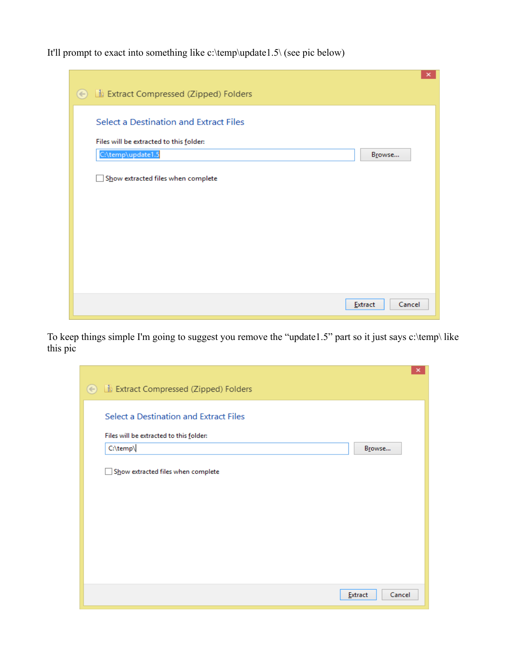It'll prompt to exact into something like c:\temp\update1.5\ (see pic below)

| $\boldsymbol{\mathsf{x}}$<br>Extract Compressed (Zipped) Folders<br>$(\Leftarrow)$ |
|------------------------------------------------------------------------------------|
| Select a Destination and Extract Files                                             |
| Files will be extracted to this folder:<br>C:\temp\update1.5<br>Browse             |
| Show extracted files when complete                                                 |
|                                                                                    |
|                                                                                    |
| Cancel<br>Extract                                                                  |

To keep things simple I'm going to suggest you remove the "update1.5" part so it just says c:\temp\ like this pic

|                                              | $\boldsymbol{\mathsf{x}}$ |
|----------------------------------------------|---------------------------|
| <b>B</b> Extract Compressed (Zipped) Folders |                           |
|                                              |                           |
| Select a Destination and Extract Files       |                           |
| Files will be extracted to this folder:      |                           |
| C:\temp\<br>Browse                           |                           |
| Show extracted files when complete           |                           |
|                                              |                           |
|                                              |                           |
|                                              |                           |
|                                              |                           |
|                                              |                           |
|                                              |                           |
|                                              |                           |
| Cancel<br>Extract                            |                           |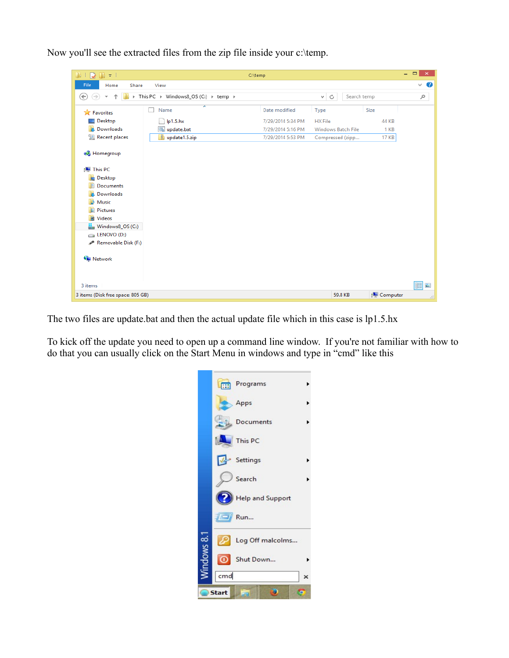Now you'll see the extracted files from the zip file inside your c:\temp.

| <b>III</b><br>$\mathbb{R}$ = 1      |                                       | C:\temp           |                           |              | $ -$<br>$\boldsymbol{\times}$ |
|-------------------------------------|---------------------------------------|-------------------|---------------------------|--------------|-------------------------------|
| File<br>Home<br>Share               | View                                  |                   |                           |              | 2<br>◡                        |
| ⇔<br>个<br>$\rightarrow$             | > This PC > Windows8_OS (C:) > temp > |                   | Search temp<br>Ċ<br>v     |              | Q                             |
| Favorites                           | ≖<br>Name                             | Date modified     | Type                      | Size         |                               |
| Desktop                             | lp1.5.hx                              | 7/29/2014 5:34 PM | <b>HX</b> File            | <b>44 KB</b> |                               |
| Downloads                           | o update.bat                          | 7/29/2014 5:16 PM | <b>Windows Batch File</b> | 1 KB         |                               |
| Recent places                       | update1.5.zip                         | 7/29/2014 5:53 PM | Compressed (zipp          | <b>17 KB</b> |                               |
| <b>R</b> Homegroup                  |                                       |                   |                           |              |                               |
| <b>This PC</b><br><b>The Second</b> |                                       |                   |                           |              |                               |
| <b>Desktop</b>                      |                                       |                   |                           |              |                               |
| Documents                           |                                       |                   |                           |              |                               |
| Downloads                           |                                       |                   |                           |              |                               |
| Music                               |                                       |                   |                           |              |                               |
| Ъ<br><b>Pictures</b>                |                                       |                   |                           |              |                               |
| <b>国</b> Videos                     |                                       |                   |                           |              |                               |
| Windows8_OS (C:)                    |                                       |                   |                           |              |                               |
| ENOVO(D)                            |                                       |                   |                           |              |                               |
| Removable Disk (F:)                 |                                       |                   |                           |              |                               |
| <b>Gu</b> Network                   |                                       |                   |                           |              |                               |
| 3 items                             |                                       |                   |                           |              | 疆<br>$\blacksquare$           |
| 3 items (Disk free space: 805 GB)   |                                       |                   | 59.8 KB                   | Computer     | лă,                           |

The two files are update.bat and then the actual update file which in this case is lp1.5.hx

To kick off the update you need to open up a command line window. If you're not familiar with how to do that you can usually click on the Start Menu in windows and type in "cmd" like this

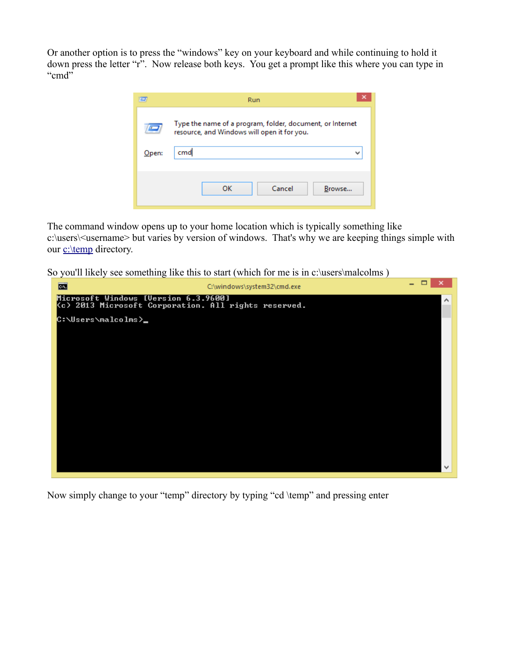Or another option is to press the "windows" key on your keyboard and while continuing to hold it down press the letter "r". Now release both keys. You get a prompt like this where you can type in "cmd"

|       | Run                                                                                                      |
|-------|----------------------------------------------------------------------------------------------------------|
|       | Type the name of a program, folder, document, or Internet<br>resource, and Windows will open it for you. |
| Open: | cmd<br>ш                                                                                                 |
|       |                                                                                                          |
|       | Cancel<br>OK<br>Browse                                                                                   |

The command window opens up to your home location which is typically something like c:\users\<username> but varies by version of windows. That's why we are keeping things simple with our [c:\temp](file:///c:/temp) directory.

So you'll likely see something like this to start (which for me is in c:\users\malcolms )



Now simply change to your "temp" directory by typing "cd \temp" and pressing enter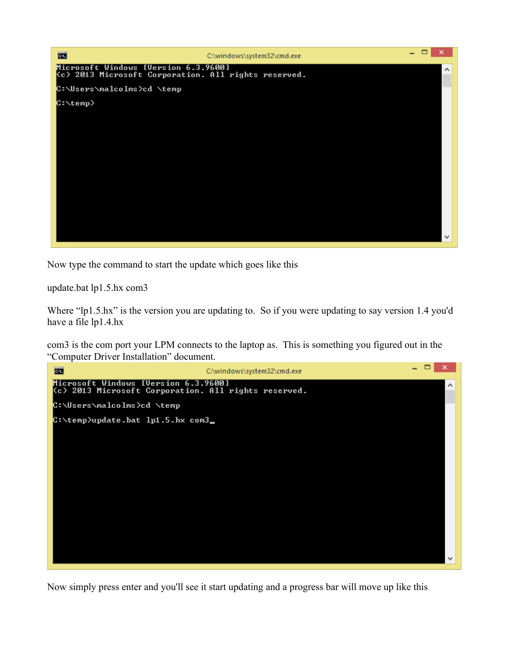

Now type the command to start the update which goes like this

update.bat lp1.5.hx com3

Where "lp1.5.hx" is the version you are updating to. So if you were updating to say version 1.4 you'd have a file lp1.4.hx

com3 is the com port your LPM connects to the laptop as. This is something you figured out in the "Computer Driver Installation" document.



Now simply press enter and you'll see it start updating and a progress bar will move up like this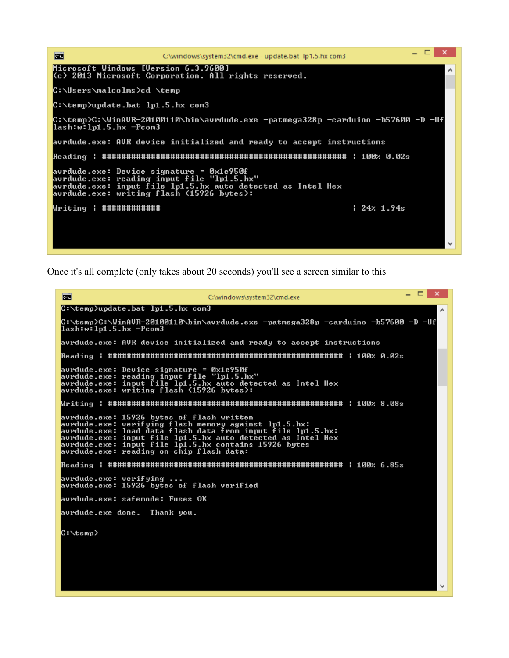

Once it's all complete (only takes about 20 seconds) you'll see a screen similar to this

 $\mathbf{x}$ 菌 C:\windows\system32\cmd.exe C:\temp>update.bat lp1.5.hx com3 C:\temp>C:\WinAUR-20100110\bin\avrdude.exe -patmega328p -carduino -b57600 -D -Uf<br>lash:w:lp1.5.hx -Pcom3 avrdude.exe: AUR device initialized and ready to accept instructions  ${\tt Reading}$  : постоянно странительно странительно странительно странительно с  $a_2$  . avrdude.exe: Device signature = 0x1e950f<br>avrdude.exe: reading input file "lp1.5.hx"<br>avrdude.exe: input file lp1.5.hx auto detected as Intel Hex<br>avrdude.exe: writing flash (15926 bytes): avrdude.exe: 15926 bytes of flash written<br>avrdude.exe: verifying flash memory against lp1.5.hx:<br>avrdude.exe: load data flash data from input file lp1.5.hx:<br>avrdude.exe: input file lp1.5.hx auto detected as Intel Hex<br>avrdud  $\bf{Reading}$  : постопнициостранности на  $\bf{R}$ avrdude.exe: verifying ...<br>avrdude.exe: 15926 bytes of flash verified avrdude.exe: safemode: Fuses OK avrdude.exe done. Thank you. C:\temp> v